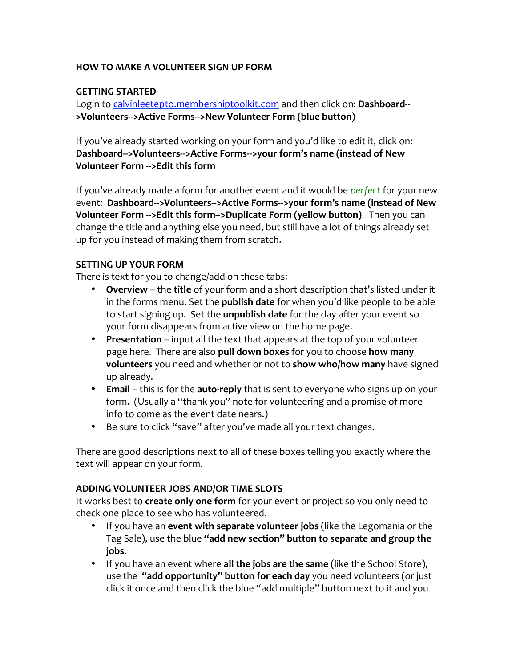## **HOW TO MAKE A VOLUNTEER SIGN UP FORM**

# **GETTING STARTED**

Login to calvinleetepto.membershiptoolkit.com and then click on: Dashboard-->Volunteers-->Active Forms-->New Volunteer Form (blue button)

If you've already started working on your form and you'd like to edit it, click on: Dashboard-->Volunteers-->Active Forms-->your form's name (instead of New **Volunteer Form -->Edit this form** 

If you've already made a form for another event and it would be *perfect* for your new event: Dashboard-->Volunteers-->Active Forms-->your form's name (instead of New **Volunteer Form -->Edit this form-->Duplicate Form (yellow button).** Then you can change the title and anything else you need, but still have a lot of things already set up for you instead of making them from scratch.

## **SETTING UP YOUR FORM**

There is text for you to change/add on these tabs:

- **Overview** the **title** of your form and a short description that's listed under it in the forms menu. Set the **publish date** for when you'd like people to be able to start signing up. Set the *unpublish* date for the day after your event so your form disappears from active view on the home page.
- **Presentation** input all the text that appears at the top of your volunteer page here. There are also pull down boxes for you to choose how many **volunteers** you need and whether or not to **show who/how many** have signed up already.
- Email this is for the auto-reply that is sent to everyone who signs up on your form. (Usually a "thank you" note for volunteering and a promise of more info to come as the event date nears.)
- Be sure to click "save" after you've made all your text changes.

There are good descriptions next to all of these boxes telling you exactly where the text will appear on your form.

## **ADDING VOLUNTEER JOBS AND/OR TIME SLOTS**

It works best to **create only one form** for your event or project so you only need to check one place to see who has volunteered.

- If you have an **event with separate volunteer jobs** (like the Legomania or the Tag Sale), use the blue "add new section" button to separate and group the **jobs**.
- If you have an event where **all the jobs are the same** (like the School Store), use the **"add opportunity" button for each day** you need volunteers (or just click it once and then click the blue "add multiple" button next to it and you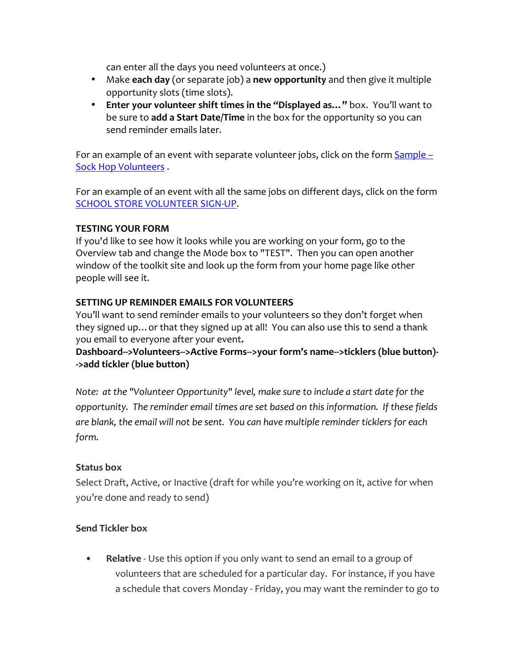can enter all the days you need volunteers at once.)

- Make **each day** (or separate job) a **new opportunity** and then give it multiple opportunity slots (time slots).
- Enter your volunteer shift times in the "Displayed as..." box. You'll want to be sure to **add a Start Date/Time** in the box for the opportunity so you can send reminder emails later.

For an example of an event with separate volunteer jobs, click on the form  $Sample -$ Sock Hop Volunteers.

For an example of an event with all the same jobs on different days, click on the form SCHOOL STORE VOLUNTEER SIGN-UP.

# **TESTING YOUR FORM**

If you'd like to see how it looks while you are working on your form, go to the Overview tab and change the Mode box to "TEST". Then you can open another window of the toolkit site and look up the form from your home page like other people will see it.

# **SETTING UP REMINDER EMAILS FOR VOLUNTEERS**

You'll want to send reminder emails to your volunteers so they don't forget when they signed up... or that they signed up at all! You can also use this to send a thank you email to everyone after your event.

Dashboard-->Volunteers-->Active Forms-->your form's name-->ticklers (blue button)-**->add tickler (blue button)**

*Note: at the "Volunteer Opportunity" level, make sure to include a start date for the* opportunity. The reminder email times are set based on this information. If these fields are blank, the email will not be sent. You can have multiple reminder ticklers for each *form.*

## **Status box**

Select Draft, Active, or Inactive (draft for while you're working on it, active for when you're done and ready to send)

## **Send Tickler box**

**Relative** - Use this option if you only want to send an email to a group of volunteers that are scheduled for a particular day. For instance, if you have a schedule that covers Monday - Friday, you may want the reminder to go to